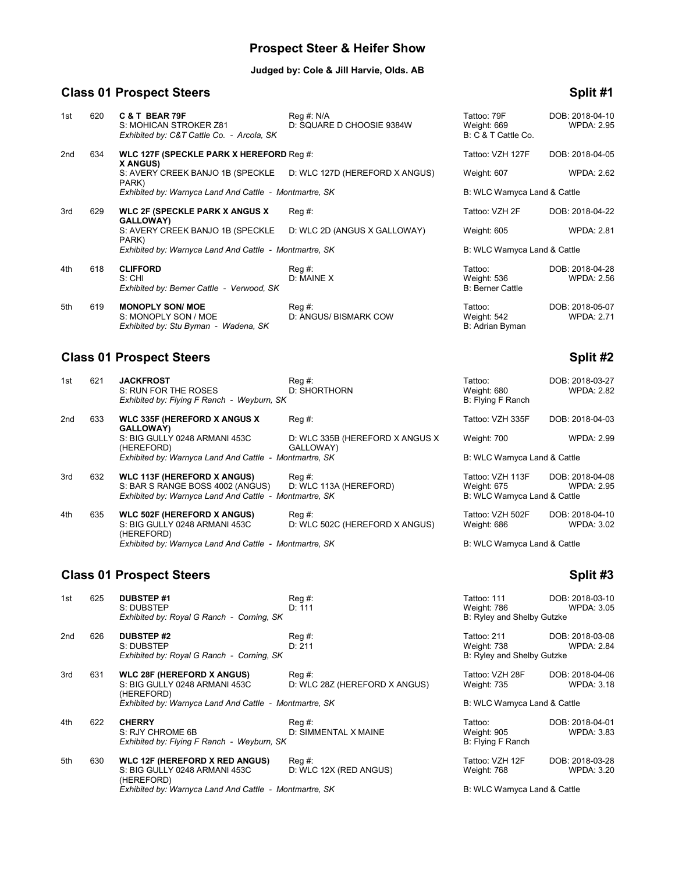## **Prospect Steer & Heifer Show**

### **Judged by: Cole & Jill Harvie, Olds. AB**

# **Class 01 Prospect Steers Split #1**

| 1st | 620 | <b>C&amp;T BEAR 79F</b><br>S: MOHICAN STROKER Z81<br>Exhibited by: C&T Cattle Co. - Arcola, SK | Reg #: N/A<br>D: SQUARE D CHOOSIE 9384W   | Tattoo: 79F<br>Weight: 669<br>B: C & T Cattle Co. | DOB: 2018-04-10<br><b>WPDA: 2.95</b> |
|-----|-----|------------------------------------------------------------------------------------------------|-------------------------------------------|---------------------------------------------------|--------------------------------------|
| 2nd | 634 | WLC 127F (SPECKLE PARK X HEREFORD Reg #:<br><b>X ANGUS)</b>                                    |                                           | Tattoo: VZH 127F                                  | DOB: 2018-04-05                      |
|     |     | S: AVERY CREEK BANJO 1B (SPECKLE D: WLC 127D (HEREFORD X ANGUS)<br>PARK)                       |                                           | Weight: 607                                       | <b>WPDA: 2.62</b>                    |
|     |     | Exhibited by: Warnyca Land And Cattle - Montmartre, SK                                         |                                           | B: WLC Warnyca Land & Cattle                      |                                      |
| 3rd | 629 | <b>WLC 2F (SPECKLE PARK X ANGUS X)</b><br><b>GALLOWAY)</b>                                     | Reg#                                      | Tattoo: VZH 2F                                    | DOB: 2018-04-22                      |
|     |     | S: AVERY CREEK BANJO 1B (SPECKLE<br>PARK)                                                      | D: WLC 2D (ANGUS X GALLOWAY)              | Weight: 605                                       | <b>WPDA: 2.81</b>                    |
|     |     | Exhibited by: Warnyca Land And Cattle - Montmartre, SK                                         |                                           | B: WLC Warnyca Land & Cattle                      |                                      |
| 4th | 618 | <b>CLIFFORD</b><br>S: CHI<br>Exhibited by: Berner Cattle - Verwood, SK                         | $\text{Req }#$ :<br>D: MAINE X            | Tattoo:<br>Weight: 536<br><b>B: Berner Cattle</b> | DOB: 2018-04-28<br><b>WPDA: 2.56</b> |
| 5th | 619 | <b>MONOPLY SON/ MOE</b><br>S: MONOPLY SON / MOE<br>Exhibited by: Stu Byman - Wadena, SK        | $\text{Req }#$ :<br>D: ANGUS/ BISMARK COW | Tattoo:<br>Weight: 542<br>B: Adrian Byman         | DOB: 2018-05-07<br><b>WPDA: 2.71</b> |

| 1st             | 621 | <b>JACKFROST</b><br>S: RUN FOR THE ROSES                                                                                         | Reg #:<br>D: SHORTHORN                       | Tattoo:<br>Weight: 680                                          | DOB: 2018-03-27<br><b>WPDA: 2.82</b> |
|-----------------|-----|----------------------------------------------------------------------------------------------------------------------------------|----------------------------------------------|-----------------------------------------------------------------|--------------------------------------|
|                 |     | Exhibited by: Flying F Ranch - Weyburn, SK                                                                                       |                                              | B: Flying F Ranch                                               |                                      |
| 2 <sub>nd</sub> | 633 | <b>WLC 335F (HEREFORD X ANGUS X</b><br><b>GALLOWAY)</b>                                                                          | Reg #:                                       | Tattoo: VZH 335F                                                | DOB: 2018-04-03                      |
|                 |     | S: BIG GULLY 0248 ARMANI 453C<br>(HEREFORD)                                                                                      | D: WLC 335B (HEREFORD X ANGUS X<br>GALLOWAY) | Weight: 700                                                     | <b>WPDA: 2.99</b>                    |
|                 |     | Exhibited by: Warnyca Land And Cattle - Montmartre, SK                                                                           |                                              | B: WLC Warnyca Land & Cattle                                    |                                      |
| 3rd             | 632 | <b>WLC 113F (HEREFORD X ANGUS)</b><br>S: BAR S RANGE BOSS 4002 (ANGUS)<br>Exhibited by: Warnyca Land And Cattle - Montmartre, SK | $\text{Req } #:$<br>D: WLC 113A (HEREFORD)   | Tattoo: VZH 113F<br>Weight: 675<br>B: WLC Warnyca Land & Cattle | DOB: 2018-04-08<br><b>WPDA: 2.95</b> |
| 4th             | 635 | <b>WLC 502F (HEREFORD X ANGUS)</b><br>S: BIG GULLY 0248 ARMANI 453C<br>(HEREFORD)                                                | Reg #:<br>D: WLC 502C (HEREFORD X ANGUS)     | Tattoo: VZH 502F<br>Weight: 686                                 | DOB: 2018-04-10<br><b>WPDA: 3.02</b> |

## **Class 01 Prospect Steers Split #3**

| 625 | <b>DUBSTEP#1</b><br>S: DUBSTEP                                                       | $\text{Req }#$ :<br>D: 111                  | Tattoo: 111<br>Weight: 786                                                                                                                                                                                                                               | DOB: 2018-03-10<br><b>WPDA: 3.05</b>                                                                                     |
|-----|--------------------------------------------------------------------------------------|---------------------------------------------|----------------------------------------------------------------------------------------------------------------------------------------------------------------------------------------------------------------------------------------------------------|--------------------------------------------------------------------------------------------------------------------------|
| 626 | <b>DUBSTEP#2</b><br>S: DUBSTEP                                                       | Reg#<br>D: 211                              | Tattoo: 211<br>Weight: 738                                                                                                                                                                                                                               | DOB: 2018-03-08<br><b>WPDA: 2.84</b>                                                                                     |
| 631 | <b>WLC 28F (HEREFORD X ANGUS)</b><br>S: BIG GULLY 0248 ARMANI 453C<br>(HEREFORD)     | $Req \#$ :<br>D: WLC 28Z (HEREFORD X ANGUS) | Tattoo: VZH 28F<br>Weight: 735                                                                                                                                                                                                                           | DOB: 2018-04-06<br><b>WPDA: 3.18</b>                                                                                     |
| 622 | <b>CHERRY</b><br>S: RJY CHROME 6B                                                    | Reg #:<br>D: SIMMENTAL X MAINE              | Tattoo:<br>Weight: 905<br>B: Flying F Ranch                                                                                                                                                                                                              | DOB: 2018-04-01<br><b>WPDA: 3.83</b>                                                                                     |
| 630 | <b>WLC 12F (HEREFORD X RED ANGUS)</b><br>S: BIG GULLY 0248 ARMANI 453C<br>(HEREFORD) | Reg #:<br>D: WLC 12X (RED ANGUS)            | Tattoo: VZH 12F<br>Weight: 768                                                                                                                                                                                                                           | DOB: 2018-03-28<br><b>WPDA: 3.20</b>                                                                                     |
|     |                                                                                      |                                             | Exhibited by: Royal G Ranch - Corning, SK<br>Exhibited by: Royal G Ranch - Corning, SK<br>Exhibited by: Warnyca Land And Cattle - Montmartre, SK<br>Exhibited by: Flying F Ranch - Weyburn, SK<br>Exhibited by: Warnyca Land And Cattle - Montmartre, SK | B: Ryley and Shelby Gutzke<br>B: Ryley and Shelby Gutzke<br>B: WLC Warnyca Land & Cattle<br>B: WLC Warnyca Land & Cattle |

|                 |     | <b>GALLOWAY)</b><br>S: AVERY CREEK BANJO 1B (SPECKLE<br>PARK)                           | D: WLC 2D (ANGUS X GALLOWAY)                 | Weight: 605                                       | <b>WPDA: 2.81</b>                    |
|-----------------|-----|-----------------------------------------------------------------------------------------|----------------------------------------------|---------------------------------------------------|--------------------------------------|
|                 |     | Exhibited by: Warnyca Land And Cattle - Montmartre, SK                                  |                                              | B: WLC Warnyca Land & Cattle                      |                                      |
| 4th             | 618 | <b>CLIFFORD</b><br>S:CHI<br>Exhibited by: Berner Cattle - Verwood, SK                   | Reg#<br>D: MAINE X                           | Tattoo:<br>Weight: 536<br><b>B: Berner Cattle</b> | DOB: 2018-04-28<br><b>WPDA: 2.56</b> |
| 5th             | 619 | <b>MONOPLY SON/ MOE</b><br>S: MONOPLY SON / MOE<br>Exhibited by: Stu Byman - Wadena, SK | Reg #:<br>D: ANGUS/ BISMARK COW              | Tattoo:<br>Weight: 542<br>B: Adrian Byman         | DOB: 2018-05-07<br><b>WPDA: 2.71</b> |
|                 |     | <b>Class 01 Prospect Steers</b>                                                         |                                              |                                                   | Split #2                             |
| 1st             | 621 | <b>JACKFROST</b><br>S: RUN FOR THE ROSES<br>Exhibited by: Flying F Ranch - Weyburn, SK  | Reg #:<br>D: SHORTHORN                       | Tattoo:<br>Weight: 680<br>B: Flying F Ranch       | DOB: 2018-03-27<br><b>WPDA: 2.82</b> |
| 2 <sub>nd</sub> | 633 | <b>WLC 335F (HEREFORD X ANGUS X)</b><br>GALLOWAY)                                       | Reg#                                         | Tattoo: VZH 335F                                  | DOB: 2018-04-03                      |
|                 |     | S: BIG GULLY 0248 ARMANI 453C<br>(HEREFORD)                                             | D: WLC 335B (HEREFORD X ANGUS X<br>GALLOWAY) | Weight: 700                                       | <b>WPDA: 2.99</b>                    |
|                 |     | Exhibited by: Warnyca Land And Cattle - Montmartre, SK                                  |                                              | B: WLC Warnyca Land & Cattle                      |                                      |
| 3rd             | 632 | <b>WLC 113F (HEREFORD X ANGUS)</b>                                                      | Reg#<br>$P_{11}$ $(11.01)(11.01)(11.000)$    | Tattoo: VZH 113F<br>                              | DOB: 2018-04-08<br>$ - -$            |

*Exhibited by: Warnyca Land And Cattle - Montmartre, SK* B: WLC Warnyca Land & Cattle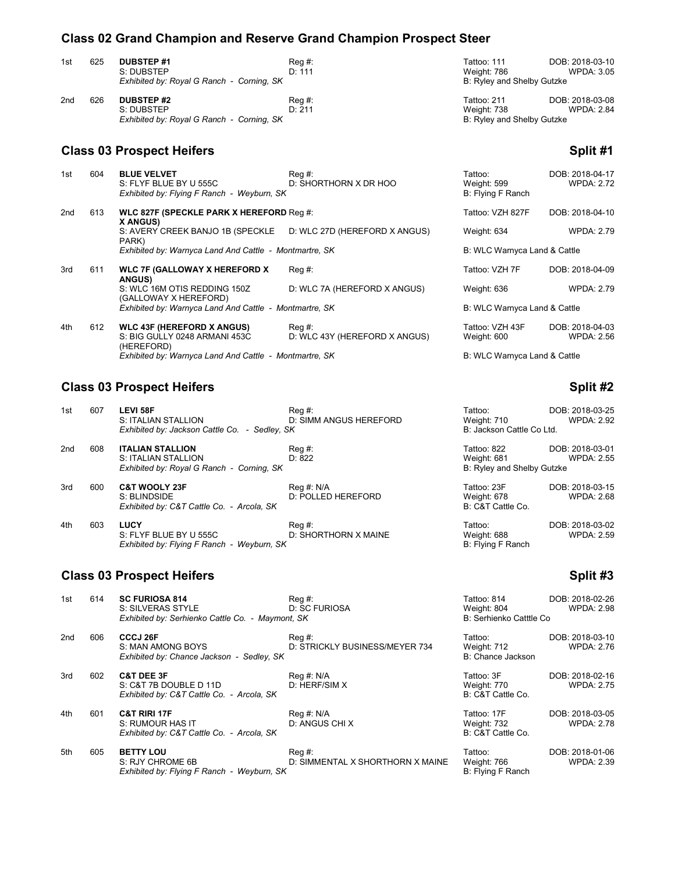## **Class 02 Grand Champion and Reserve Grand Champion Prospect Steer**

| 1st | 625 | <b>DUBSTEP#1</b><br>S: DUBSTEP            | Reg #:<br>D: 111 | Tattoo: 111<br>Weight: 786 | DOB: 2018-03-10<br>WPDA: 3.05 |
|-----|-----|-------------------------------------------|------------------|----------------------------|-------------------------------|
|     |     | Exhibited by: Royal G Ranch - Corning, SK |                  | B: Ryley and Shelby Gutzke |                               |
| 2nd | 626 | <b>DUBSTEP #2</b>                         | Reg #:           | Tattoo: 211                | DOB: 2018-03-08               |
|     |     | S: DUBSTEP                                | D: 211           | Weight: 738                | <b>WPDA: 2.84</b>             |

**Exhibited by: Royal G Ranch - Corning, SK** B: Ryley and Shelby Gutzke

### **Class 03 Prospect Heifers Split #1**

| 1st | 604 | <b>BLUE VELVET</b><br>S: FLYF BLUE BY U 555C<br>Exhibited by: Flying F Ranch - Weyburn, SK | $Req \#$ :<br>D: SHORTHORN X DR HOO     | Tattoo:<br>Weight: 599<br>B: Flying F Ranch | DOB: 2018-04-17<br><b>WPDA: 2.72</b> |
|-----|-----|--------------------------------------------------------------------------------------------|-----------------------------------------|---------------------------------------------|--------------------------------------|
| 2nd | 613 | WLC 827F (SPECKLE PARK X HEREFORD Req #:<br>X ANGUS)                                       |                                         | Tattoo: VZH 827F                            | DOB: 2018-04-10                      |
|     |     | S: AVERY CREEK BANJO 1B (SPECKLE D: WLC 27D (HEREFORD X ANGUS)<br>PARK)                    |                                         | Weight: 634                                 | <b>WPDA: 2.79</b>                    |
|     |     | Exhibited by: Warnyca Land And Cattle - Montmartre, SK                                     |                                         | B: WLC Warnyca Land & Cattle                |                                      |
| 3rd | 611 | <b>WLC 7F (GALLOWAY X HEREFORD X</b><br><b>ANGUS)</b>                                      | $Req \#$ :                              | Tattoo: VZH 7F                              | DOB: 2018-04-09                      |
|     |     | S: WLC 16M OTIS REDDING 150Z<br>(GALLOWAY X HEREFORD)                                      | D: WLC 7A (HEREFORD X ANGUS)            | Weight: 636                                 | <b>WPDA: 2.79</b>                    |
|     |     | Exhibited by: Warnyca Land And Cattle - Montmartre, SK                                     |                                         | B: WLC Warnyca Land & Cattle                |                                      |
| 4th | 612 | <b>WLC 43F (HEREFORD X ANGUS)</b><br>S: BIG GULLY 0248 ARMANI 453C<br>(HEREFORD)           | Reg #:<br>D: WLC 43Y (HEREFORD X ANGUS) | Tattoo: VZH 43F<br>Weight: 600              | DOB: 2018-04-03<br><b>WPDA: 2.56</b> |
|     |     | Exhibited by: Warnyca Land And Cattle - Montmartre, SK                                     |                                         | B: WLC Warnyca Land & Cattle                |                                      |

## **Class 03 Prospect Heifers Split #2 Split #2**

| 1st | 607 | <b>LEVI 58F</b><br>S: ITALIAN STALLION<br>Exhibited by: Jackson Cattle Co. - Sedley, SK     | Reg #:<br>D: SIMM ANGUS HEREFORD | Tattoo:<br>Weight: 710<br>B: Jackson Cattle Co Ltd.      | DOB: 2018-03-25<br><b>WPDA: 2.92</b> |
|-----|-----|---------------------------------------------------------------------------------------------|----------------------------------|----------------------------------------------------------|--------------------------------------|
| 2nd | 608 | <b>ITALIAN STALLION</b><br>S: ITALIAN STALLION<br>Exhibited by: Royal G Ranch - Corning, SK | $Req \#$ :<br>D: 822             | Tattoo: 822<br>Weight: 681<br>B: Ryley and Shelby Gutzke | DOB: 2018-03-01<br><b>WPDA: 2.55</b> |
| 3rd | 600 | <b>C&amp;T WOOLY 23F</b><br>S: BLINDSIDE<br>Exhibited by: C&T Cattle Co. - Arcola, SK       | Reg #: N/A<br>D: POLLED HEREFORD | Tattoo: 23F<br>Weight: 678<br>B: C&T Cattle Co.          | DOB: 2018-03-15<br><b>WPDA: 2.68</b> |
| 4th | 603 | <b>LUCY</b><br>S: FLYF BLUE BY U 555C<br>Exhibited by: Flying F Ranch - Weyburn, SK         | Reg #:<br>D: SHORTHORN X MAINE   | Tattoo:<br>Weight: 688<br>B: Flying F Ranch              | DOB: 2018-03-02<br><b>WPDA: 2.59</b> |

# **Class 03 Prospect Heifers Split #3**

| 1st | 614 | <b>SC FURIOSA 814</b><br>S: SILVERAS STYLE                                                   | Reg#<br>D: SC FURIOSA                      | Tattoo: 814<br>Weight: 804                      | DOB: 2018-02-26<br><b>WPDA: 2.98</b> |
|-----|-----|----------------------------------------------------------------------------------------------|--------------------------------------------|-------------------------------------------------|--------------------------------------|
|     |     | Exhibited by: Serhienko Cattle Co. - Maymont, SK                                             |                                            | B: Serhienko Catttle Co                         |                                      |
| 2nd | 606 | CCCJ 26F<br>S: MAN AMONG BOYS<br>Exhibited by: Chance Jackson - Sedley, SK                   | Reg #:<br>D: STRICKLY BUSINESS/MEYER 734   | Tattoo:<br>Weight: 712<br>B: Chance Jackson     | DOB: 2018-03-10<br><b>WPDA: 2.76</b> |
| 3rd | 602 | <b>C&amp;T DEE 3F</b><br>S: C&T 7B DOUBLE D 11D<br>Exhibited by: C&T Cattle Co. - Arcola, SK | Reg #: N/A<br>D: HERF/SIM X                | Tattoo: 3F<br>Weight: 770<br>B: C&T Cattle Co.  | DOB: 2018-02-16<br><b>WPDA: 2.75</b> |
| 4th | 601 | <b>C&amp;T RIRI 17F</b><br>S: RUMOUR HAS IT<br>Exhibited by: C&T Cattle Co. - Arcola, SK     | Reg #: N/A<br>D: ANGUS CHI X               | Tattoo: 17F<br>Weight: 732<br>B: C&T Cattle Co. | DOB: 2018-03-05<br><b>WPDA: 2.78</b> |
| 5th | 605 | <b>BETTY LOU</b><br>S: RJY CHROME 6B<br>Exhibited by: Flying F Ranch - Weyburn, SK           | Reg #:<br>D: SIMMENTAL X SHORTHORN X MAINE | Tattoo:<br>Weight: 766<br>B: Flying F Ranch     | DOB: 2018-01-06<br><b>WPDA: 2.39</b> |